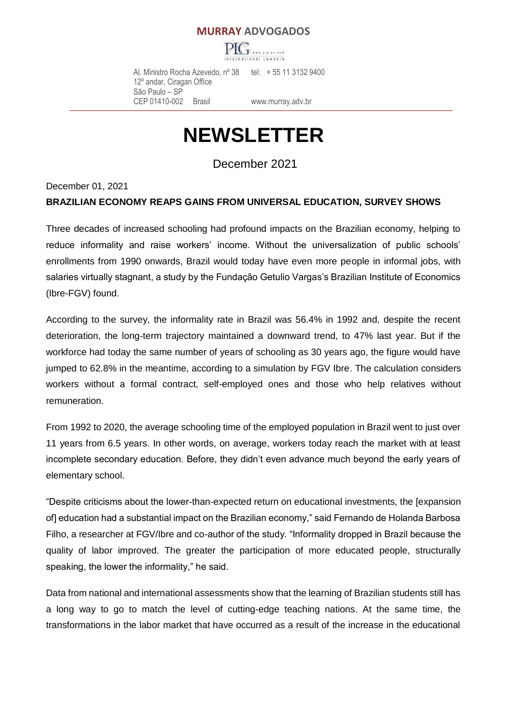# **MURRAY ADVOGADOS**



 Al. Ministro Rocha Azevedo, nº 38 tel: + 55 11 3132 9400 12º andar, Ciragan Office São Paulo – SP CEP 01410-002 Brasil [www.murray.adv.br](http://www.murray.adv.br/)

# **NEWSLETTER**

December 2021

December 01, 2021

#### **BRAZILIAN ECONOMY REAPS GAINS FROM UNIVERSAL EDUCATION, SURVEY SHOWS**

Three decades of increased schooling had profound impacts on the Brazilian economy, helping to reduce informality and raise workers' income. Without the universalization of public schools' enrollments from 1990 onwards, Brazil would today have even more people in informal jobs, with salaries virtually stagnant, a study by the Fundação Getulio Vargas's Brazilian Institute of Economics (Ibre-FGV) found.

According to the survey, the informality rate in Brazil was 56.4% in 1992 and, despite the recent deterioration, the long-term trajectory maintained a downward trend, to 47% last year. But if the workforce had today the same number of years of schooling as 30 years ago, the figure would have jumped to 62.8% in the meantime, according to a simulation by FGV Ibre. The calculation considers workers without a formal contract, self-employed ones and those who help relatives without remuneration.

From 1992 to 2020, the average schooling time of the employed population in Brazil went to just over 11 years from 6.5 years. In other words, on average, workers today reach the market with at least incomplete secondary education. Before, they didn't even advance much beyond the early years of elementary school.

"Despite criticisms about the lower-than-expected return on educational investments, the [expansion of] education had a substantial impact on the Brazilian economy," said Fernando de Holanda Barbosa Filho, a researcher at FGV/Ibre and co-author of the study. "Informality dropped in Brazil because the quality of labor improved. The greater the participation of more educated people, structurally speaking, the lower the informality," he said.

Data from national and international assessments show that the learning of Brazilian students still has a long way to go to match the level of cutting-edge teaching nations. At the same time, the transformations in the labor market that have occurred as a result of the increase in the educational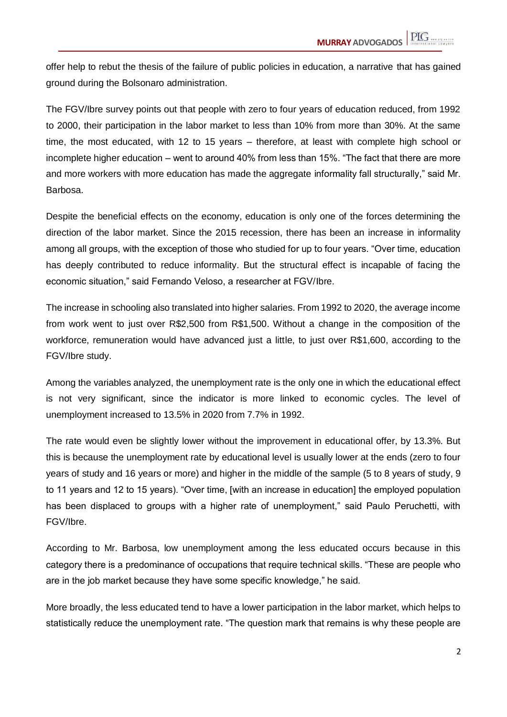offer help to rebut the thesis of the failure of public policies in education, a narrative that has gained ground during the Bolsonaro administration.

The FGV/Ibre survey points out that people with zero to four years of education reduced, from 1992 to 2000, their participation in the labor market to less than 10% from more than 30%. At the same time, the most educated, with 12 to 15 years – therefore, at least with complete high school or incomplete higher education – went to around 40% from less than 15%. "The fact that there are more and more workers with more education has made the aggregate informality fall structurally," said Mr. Barbosa.

Despite the beneficial effects on the economy, education is only one of the forces determining the direction of the labor market. Since the 2015 recession, there has been an increase in informality among all groups, with the exception of those who studied for up to four years. "Over time, education has deeply contributed to reduce informality. But the structural effect is incapable of facing the economic situation," said Fernando Veloso, a researcher at FGV/Ibre.

The increase in schooling also translated into higher salaries. From 1992 to 2020, the average income from work went to just over R\$2,500 from R\$1,500. Without a change in the composition of the workforce, remuneration would have advanced just a little, to just over R\$1,600, according to the FGV/Ibre study.

Among the variables analyzed, the unemployment rate is the only one in which the educational effect is not very significant, since the indicator is more linked to economic cycles. The level of unemployment increased to 13.5% in 2020 from 7.7% in 1992.

The rate would even be slightly lower without the improvement in educational offer, by 13.3%. But this is because the unemployment rate by educational level is usually lower at the ends (zero to four years of study and 16 years or more) and higher in the middle of the sample (5 to 8 years of study, 9 to 11 years and 12 to 15 years). "Over time, [with an increase in education] the employed population has been displaced to groups with a higher rate of unemployment," said Paulo Peruchetti, with FGV/Ibre.

According to Mr. Barbosa, low unemployment among the less educated occurs because in this category there is a predominance of occupations that require technical skills. "These are people who are in the job market because they have some specific knowledge," he said.

More broadly, the less educated tend to have a lower participation in the labor market, which helps to statistically reduce the unemployment rate. "The question mark that remains is why these people are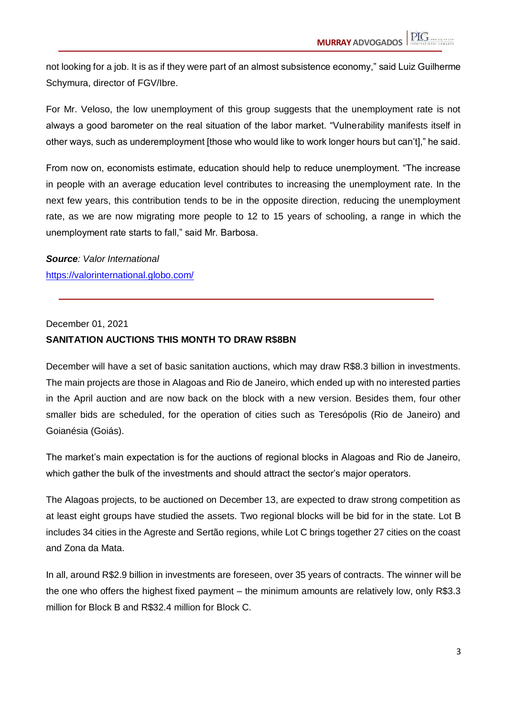not looking for a job. It is as if they were part of an almost subsistence economy," said Luiz Guilherme Schymura, director of FGV/Ibre.

For Mr. Veloso, the low unemployment of this group suggests that the unemployment rate is not always a good barometer on the real situation of the labor market. "Vulnerability manifests itself in other ways, such as underemployment [those who would like to work longer hours but can't]," he said.

From now on, economists estimate, education should help to reduce unemployment. "The increase in people with an average education level contributes to increasing the unemployment rate. In the next few years, this contribution tends to be in the opposite direction, reducing the unemployment rate, as we are now migrating more people to 12 to 15 years of schooling, a range in which the unemployment rate starts to fall," said Mr. Barbosa.

*Source: Valor International* https://valorinternational.globo.com/

December 01, 2021

#### **SANITATION AUCTIONS THIS MONTH TO DRAW R\$8BN**

December will have a set of basic sanitation auctions, which may draw R\$8.3 billion in investments. The main projects are those in Alagoas and Rio de Janeiro, which ended up with no interested parties in the April auction and are now back on the block with a new version. Besides them, four other smaller bids are scheduled, for the operation of cities such as Teresópolis (Rio de Janeiro) and Goianésia (Goiás).

The market's main expectation is for the auctions of regional blocks in Alagoas and Rio de Janeiro, which gather the bulk of the investments and should attract the sector's major operators.

The Alagoas projects, to be auctioned on December 13, are expected to draw strong competition as at least eight groups have studied the assets. Two regional blocks will be bid for in the state. Lot B includes 34 cities in the Agreste and Sertão regions, while Lot C brings together 27 cities on the coast and Zona da Mata.

In all, around R\$2.9 billion in investments are foreseen, over 35 years of contracts. The winner will be the one who offers the highest fixed payment – the minimum amounts are relatively low, only R\$3.3 million for Block B and R\$32.4 million for Block C.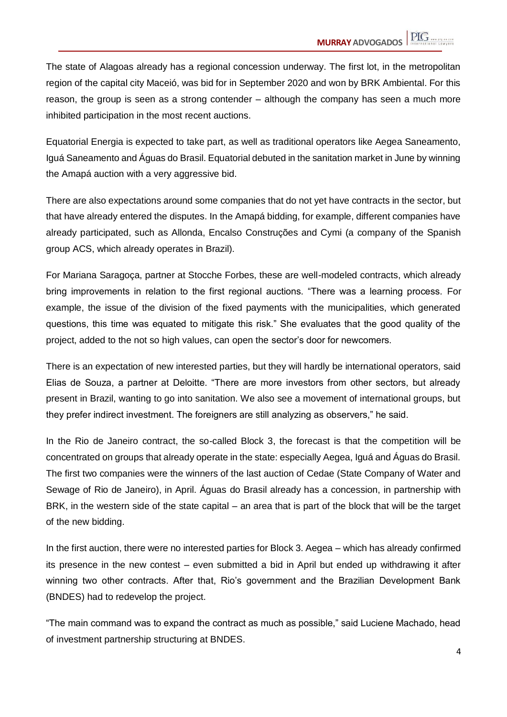The state of Alagoas already has a regional concession underway. The first lot, in the metropolitan region of the capital city Maceió, was bid for in September 2020 and won by BRK Ambiental. For this reason, the group is seen as a strong contender – although the company has seen a much more inhibited participation in the most recent auctions.

Equatorial Energia is expected to take part, as well as traditional operators like Aegea Saneamento, Iguá Saneamento and Águas do Brasil. Equatorial debuted in the sanitation market in June by winning the Amapá auction with a very aggressive bid.

There are also expectations around some companies that do not yet have contracts in the sector, but that have already entered the disputes. In the Amapá bidding, for example, different companies have already participated, such as Allonda, Encalso Construções and Cymi (a company of the Spanish group ACS, which already operates in Brazil).

For Mariana Saragoça, partner at Stocche Forbes, these are well-modeled contracts, which already bring improvements in relation to the first regional auctions. "There was a learning process. For example, the issue of the division of the fixed payments with the municipalities, which generated questions, this time was equated to mitigate this risk." She evaluates that the good quality of the project, added to the not so high values, can open the sector's door for newcomers.

There is an expectation of new interested parties, but they will hardly be international operators, said Elias de Souza, a partner at Deloitte. "There are more investors from other sectors, but already present in Brazil, wanting to go into sanitation. We also see a movement of international groups, but they prefer indirect investment. The foreigners are still analyzing as observers," he said.

In the Rio de Janeiro contract, the so-called Block 3, the forecast is that the competition will be concentrated on groups that already operate in the state: especially Aegea, Iguá and Águas do Brasil. The first two companies were the winners of the last auction of Cedae (State Company of Water and Sewage of Rio de Janeiro), in April. Águas do Brasil already has a concession, in partnership with BRK, in the western side of the state capital – an area that is part of the block that will be the target of the new bidding.

In the first auction, there were no interested parties for Block 3. Aegea – which has already confirmed its presence in the new contest – even submitted a bid in April but ended up withdrawing it after winning two other contracts. After that, Rio's government and the Brazilian Development Bank (BNDES) had to redevelop the project.

"The main command was to expand the contract as much as possible," said Luciene Machado, head of investment partnership structuring at BNDES.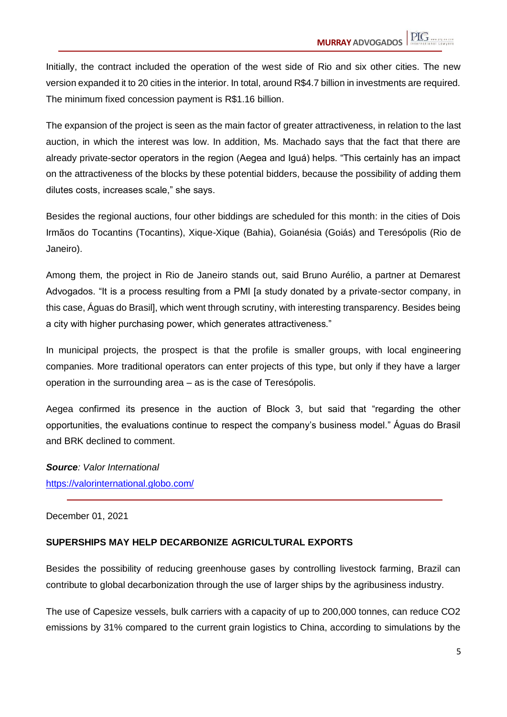Initially, the contract included the operation of the west side of Rio and six other cities. The new version expanded it to 20 cities in the interior. In total, around R\$4.7 billion in investments are required. The minimum fixed concession payment is R\$1.16 billion.

The expansion of the project is seen as the main factor of greater attractiveness, in relation to the last auction, in which the interest was low. In addition, Ms. Machado says that the fact that there are already private-sector operators in the region (Aegea and Iguá) helps. "This certainly has an impact on the attractiveness of the blocks by these potential bidders, because the possibility of adding them dilutes costs, increases scale," she says.

Besides the regional auctions, four other biddings are scheduled for this month: in the cities of Dois Irmãos do Tocantins (Tocantins), Xique-Xique (Bahia), Goianésia (Goiás) and Teresópolis (Rio de Janeiro).

Among them, the project in Rio de Janeiro stands out, said Bruno Aurélio, a partner at Demarest Advogados. "It is a process resulting from a PMI [a study donated by a private-sector company, in this case, Águas do Brasil], which went through scrutiny, with interesting transparency. Besides being a city with higher purchasing power, which generates attractiveness."

In municipal projects, the prospect is that the profile is smaller groups, with local engineering companies. More traditional operators can enter projects of this type, but only if they have a larger operation in the surrounding area – as is the case of Teresópolis.

Aegea confirmed its presence in the auction of Block 3, but said that "regarding the other opportunities, the evaluations continue to respect the company's business model." Águas do Brasil and BRK declined to comment.

*Source: Valor International* https://valorinternational.globo.com/

#### December 01, 2021

# **SUPERSHIPS MAY HELP DECARBONIZE AGRICULTURAL EXPORTS**

Besides the possibility of reducing greenhouse gases by controlling livestock farming, Brazil can contribute to global decarbonization through the use of larger ships by the agribusiness industry.

The use of Capesize vessels, bulk carriers with a capacity of up to 200,000 tonnes, can reduce CO2 emissions by 31% compared to the current grain logistics to China, according to simulations by the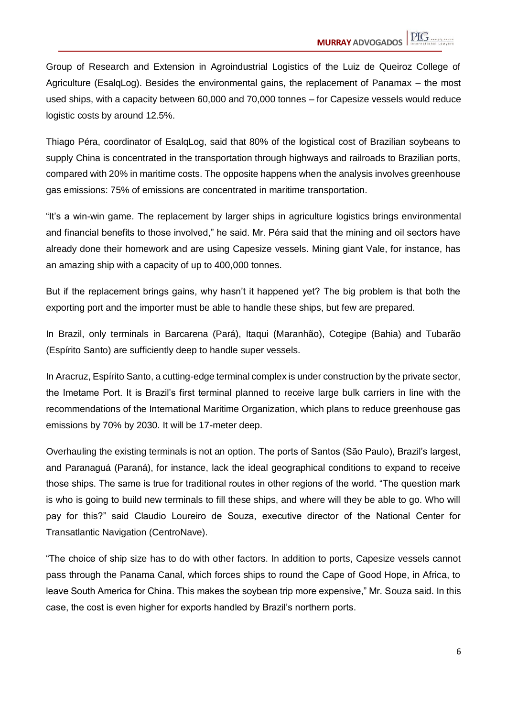Group of Research and Extension in Agroindustrial Logistics of the Luiz de Queiroz College of Agriculture (EsalqLog). Besides the environmental gains, the replacement of Panamax – the most used ships, with a capacity between 60,000 and 70,000 tonnes – for Capesize vessels would reduce logistic costs by around 12.5%.

Thiago Péra, coordinator of EsalqLog, said that 80% of the logistical cost of Brazilian soybeans to supply China is concentrated in the transportation through highways and railroads to Brazilian ports, compared with 20% in maritime costs. The opposite happens when the analysis involves greenhouse gas emissions: 75% of emissions are concentrated in maritime transportation.

"It's a win-win game. The replacement by larger ships in agriculture logistics brings environmental and financial benefits to those involved," he said. Mr. Péra said that the mining and oil sectors have already done their homework and are using Capesize vessels. Mining giant Vale, for instance, has an amazing ship with a capacity of up to 400,000 tonnes.

But if the replacement brings gains, why hasn't it happened yet? The big problem is that both the exporting port and the importer must be able to handle these ships, but few are prepared.

In Brazil, only terminals in Barcarena (Pará), Itaqui (Maranhão), Cotegipe (Bahia) and Tubarão (Espírito Santo) are sufficiently deep to handle super vessels.

In Aracruz, Espírito Santo, a cutting-edge terminal complex is under construction by the private sector, the Imetame Port. It is Brazil's first terminal planned to receive large bulk carriers in line with the recommendations of the International Maritime Organization, which plans to reduce greenhouse gas emissions by 70% by 2030. It will be 17-meter deep.

Overhauling the existing terminals is not an option. The ports of Santos (São Paulo), Brazil's largest, and Paranaguá (Paraná), for instance, lack the ideal geographical conditions to expand to receive those ships. The same is true for traditional routes in other regions of the world. "The question mark is who is going to build new terminals to fill these ships, and where will they be able to go. Who will pay for this?" said Claudio Loureiro de Souza, executive director of the National Center for Transatlantic Navigation (CentroNave).

"The choice of ship size has to do with other factors. In addition to ports, Capesize vessels cannot pass through the Panama Canal, which forces ships to round the Cape of Good Hope, in Africa, to leave South America for China. This makes the soybean trip more expensive," Mr. Souza said. In this case, the cost is even higher for exports handled by Brazil's northern ports.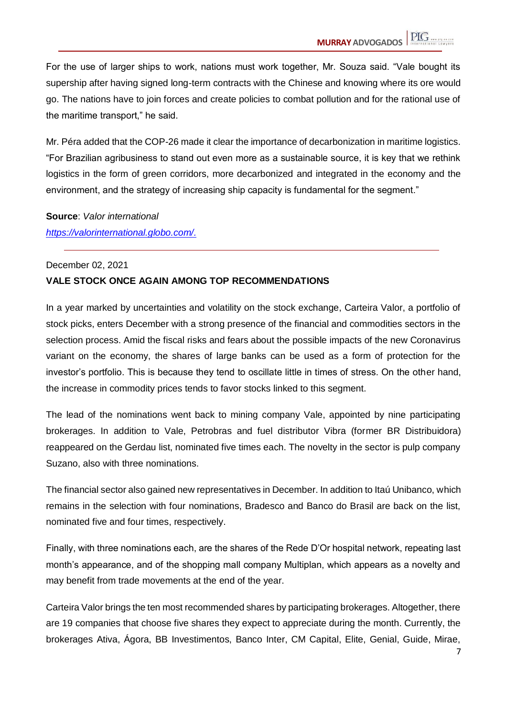For the use of larger ships to work, nations must work together, Mr. Souza said. "Vale bought its supership after having signed long-term contracts with the Chinese and knowing where its ore would go. The nations have to join forces and create policies to combat pollution and for the rational use of the maritime transport," he said.

Mr. Péra added that the COP-26 made it clear the importance of decarbonization in maritime logistics. "For Brazilian agribusiness to stand out even more as a sustainable source, it is key that we rethink logistics in the form of green corridors, more decarbonized and integrated in the economy and the environment, and the strategy of increasing ship capacity is fundamental for the segment."

**Source**: *Valor international*

*https://valorinternational.globo.com/.*

#### December 02, 2021

#### **VALE STOCK ONCE AGAIN AMONG TOP RECOMMENDATIONS**

In a year marked by uncertainties and volatility on the stock exchange, Carteira Valor, a portfolio of stock picks, enters December with a strong presence of the financial and commodities sectors in the selection process. Amid the fiscal risks and fears about the possible impacts of the new Coronavirus variant on the economy, the shares of large banks can be used as a form of protection for the investor's portfolio. This is because they tend to oscillate little in times of stress. On the other hand, the increase in commodity prices tends to favor stocks linked to this segment.

The lead of the nominations went back to mining company Vale, appointed by nine participating brokerages. In addition to Vale, Petrobras and fuel distributor Vibra (former BR Distribuidora) reappeared on the Gerdau list, nominated five times each. The novelty in the sector is pulp company Suzano, also with three nominations.

The financial sector also gained new representatives in December. In addition to Itaú Unibanco, which remains in the selection with four nominations, Bradesco and Banco do Brasil are back on the list, nominated five and four times, respectively.

Finally, with three nominations each, are the shares of the Rede D'Or hospital network, repeating last month's appearance, and of the shopping mall company Multiplan, which appears as a novelty and may benefit from trade movements at the end of the year.

Carteira Valor brings the ten most recommended shares by participating brokerages. Altogether, there are 19 companies that choose five shares they expect to appreciate during the month. Currently, the brokerages Ativa, Ágora, BB Investimentos, Banco Inter, CM Capital, Elite, Genial, Guide, Mirae,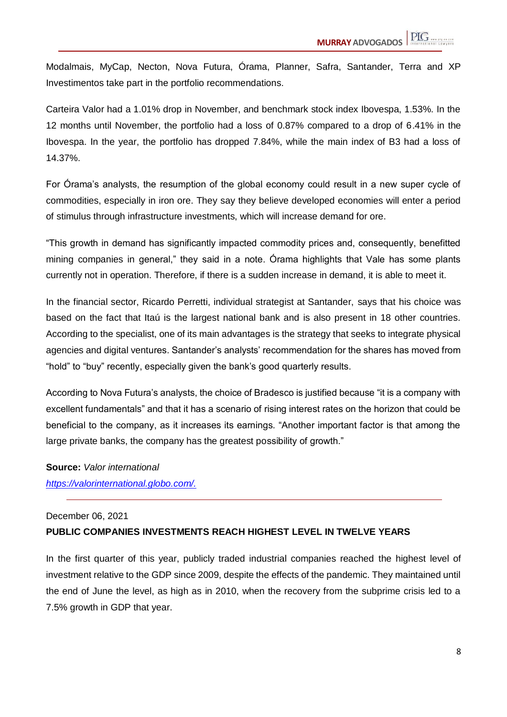Modalmais, MyCap, Necton, Nova Futura, Órama, Planner, Safra, Santander, Terra and XP Investimentos take part in the portfolio recommendations.

Carteira Valor had a 1.01% drop in November, and benchmark stock index Ibovespa, 1.53%. In the 12 months until November, the portfolio had a loss of 0.87% compared to a drop of 6.41% in the Ibovespa. In the year, the portfolio has dropped 7.84%, while the main index of B3 had a loss of 14.37%.

For Órama's analysts, the resumption of the global economy could result in a new super cycle of commodities, especially in iron ore. They say they believe developed economies will enter a period of stimulus through infrastructure investments, which will increase demand for ore.

"This growth in demand has significantly impacted commodity prices and, consequently, benefitted mining companies in general," they said in a note. Órama highlights that Vale has some plants currently not in operation. Therefore, if there is a sudden increase in demand, it is able to meet it.

In the financial sector, Ricardo Perretti, individual strategist at Santander, says that his choice was based on the fact that Itaú is the largest national bank and is also present in 18 other countries. According to the specialist, one of its main advantages is the strategy that seeks to integrate physical agencies and digital ventures. Santander's analysts' recommendation for the shares has moved from "hold" to "buy" recently, especially given the bank's good quarterly results.

According to Nova Futura's analysts, the choice of Bradesco is justified because "it is a company with excellent fundamentals" and that it has a scenario of rising interest rates on the horizon that could be beneficial to the company, as it increases its earnings. "Another important factor is that among the large private banks, the company has the greatest possibility of growth."

**Source:** *Valor international*

*https://valorinternational.globo.com/.*

#### December 06, 2021

#### **PUBLIC COMPANIES INVESTMENTS REACH HIGHEST LEVEL IN TWELVE YEARS**

In the first quarter of this year, publicly traded industrial companies reached the highest level of investment relative to the GDP since 2009, despite the effects of the pandemic. They maintained until the end of June the level, as high as in 2010, when the recovery from the subprime crisis led to a 7.5% growth in GDP that year.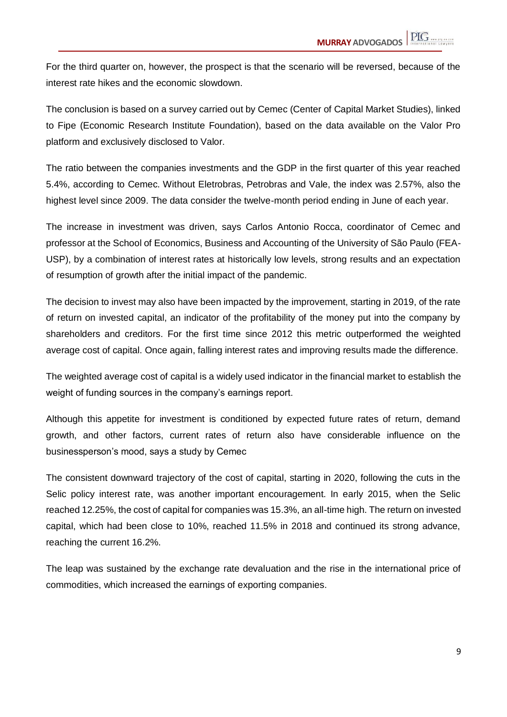For the third quarter on, however, the prospect is that the scenario will be reversed, because of the interest rate hikes and the economic slowdown.

The conclusion is based on a survey carried out by Cemec (Center of Capital Market Studies), linked to Fipe (Economic Research Institute Foundation), based on the data available on the Valor Pro platform and exclusively disclosed to Valor.

The ratio between the companies investments and the GDP in the first quarter of this year reached 5.4%, according to Cemec. Without Eletrobras, Petrobras and Vale, the index was 2.57%, also the highest level since 2009. The data consider the twelve-month period ending in June of each year.

The increase in investment was driven, says Carlos Antonio Rocca, coordinator of Cemec and professor at the School of Economics, Business and Accounting of the University of São Paulo (FEA-USP), by a combination of interest rates at historically low levels, strong results and an expectation of resumption of growth after the initial impact of the pandemic.

The decision to invest may also have been impacted by the improvement, starting in 2019, of the rate of return on invested capital, an indicator of the profitability of the money put into the company by shareholders and creditors. For the first time since 2012 this metric outperformed the weighted average cost of capital. Once again, falling interest rates and improving results made the difference.

The weighted average cost of capital is a widely used indicator in the financial market to establish the weight of funding sources in the company's earnings report.

Although this appetite for investment is conditioned by expected future rates of return, demand growth, and other factors, current rates of return also have considerable influence on the businessperson's mood, says a study by Cemec

The consistent downward trajectory of the cost of capital, starting in 2020, following the cuts in the Selic policy interest rate, was another important encouragement. In early 2015, when the Selic reached 12.25%, the cost of capital for companies was 15.3%, an all-time high. The return on invested capital, which had been close to 10%, reached 11.5% in 2018 and continued its strong advance, reaching the current 16.2%.

The leap was sustained by the exchange rate devaluation and the rise in the international price of commodities, which increased the earnings of exporting companies.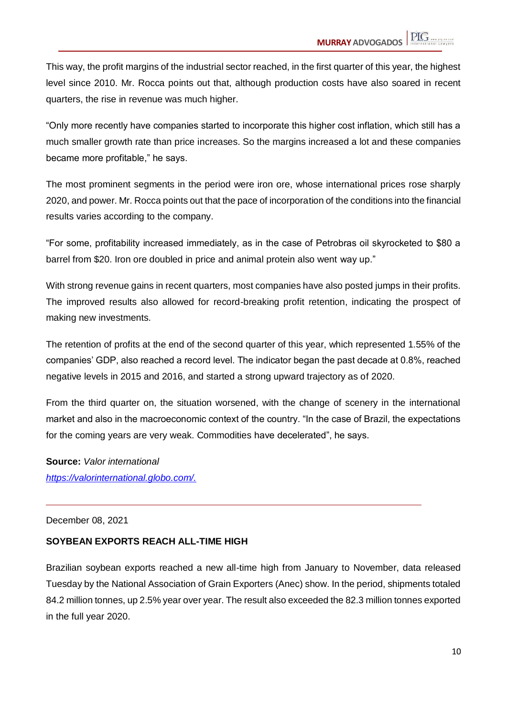This way, the profit margins of the industrial sector reached, in the first quarter of this year, the highest level since 2010. Mr. Rocca points out that, although production costs have also soared in recent quarters, the rise in revenue was much higher.

"Only more recently have companies started to incorporate this higher cost inflation, which still has a much smaller growth rate than price increases. So the margins increased a lot and these companies became more profitable," he says.

The most prominent segments in the period were iron ore, whose international prices rose sharply 2020, and power. Mr. Rocca points out that the pace of incorporation of the conditions into the financial results varies according to the company.

"For some, profitability increased immediately, as in the case of Petrobras oil skyrocketed to \$80 a barrel from \$20. Iron ore doubled in price and animal protein also went way up."

With strong revenue gains in recent quarters, most companies have also posted jumps in their profits. The improved results also allowed for record-breaking profit retention, indicating the prospect of making new investments.

The retention of profits at the end of the second quarter of this year, which represented 1.55% of the companies' GDP, also reached a record level. The indicator began the past decade at 0.8%, reached negative levels in 2015 and 2016, and started a strong upward trajectory as of 2020.

From the third quarter on, the situation worsened, with the change of scenery in the international market and also in the macroeconomic context of the country. "In the case of Brazil, the expectations for the coming years are very weak. Commodities have decelerated", he says.

**Source:** *Valor international https://valorinternational.globo.com/.*

December 08, 2021

# **SOYBEAN EXPORTS REACH ALL-TIME HIGH**

Brazilian soybean exports reached a new all-time high from January to November, data released Tuesday by the National Association of Grain Exporters (Anec) show. In the period, shipments totaled 84.2 million tonnes, up 2.5% year over year. The result also exceeded the 82.3 million tonnes exported in the full year 2020.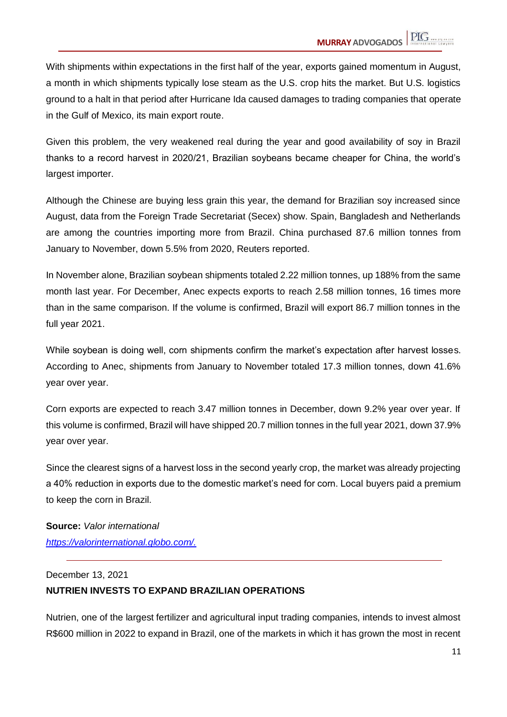With shipments within expectations in the first half of the year, exports gained momentum in August, a month in which shipments typically lose steam as the U.S. crop hits the market. But U.S. logistics ground to a halt in that period after Hurricane Ida caused damages to trading companies that operate in the Gulf of Mexico, its main export route.

Given this problem, the very weakened real during the year and good availability of soy in Brazil thanks to a record harvest in 2020/21, Brazilian soybeans became cheaper for China, the world's largest importer.

Although the Chinese are buying less grain this year, the demand for Brazilian soy increased since August, data from the Foreign Trade Secretariat (Secex) show. Spain, Bangladesh and Netherlands are among the countries importing more from Brazil. China purchased 87.6 million tonnes from January to November, down 5.5% from 2020, Reuters reported.

In November alone, Brazilian soybean shipments totaled 2.22 million tonnes, up 188% from the same month last year. For December, Anec expects exports to reach 2.58 million tonnes, 16 times more than in the same comparison. If the volume is confirmed, Brazil will export 86.7 million tonnes in the full year 2021.

While soybean is doing well, corn shipments confirm the market's expectation after harvest losses. According to Anec, shipments from January to November totaled 17.3 million tonnes, down 41.6% year over year.

Corn exports are expected to reach 3.47 million tonnes in December, down 9.2% year over year. If this volume is confirmed, Brazil will have shipped 20.7 million tonnes in the full year 2021, down 37.9% year over year.

Since the clearest signs of a harvest loss in the second yearly crop, the market was already projecting a 40% reduction in exports due to the domestic market's need for corn. Local buyers paid a premium to keep the corn in Brazil.

**Source:** *Valor international https://valorinternational.globo.com/.*

# December 13, 2021 **NUTRIEN INVESTS TO EXPAND BRAZILIAN OPERATIONS**

Nutrien, one of the largest fertilizer and agricultural input trading companies, intends to invest almost R\$600 million in 2022 to expand in Brazil, one of the markets in which it has grown the most in recent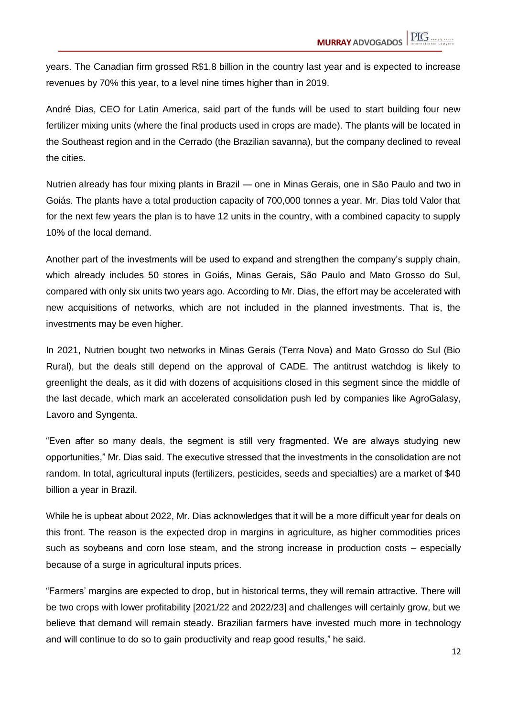years. The Canadian firm grossed R\$1.8 billion in the country last year and is expected to increase revenues by 70% this year, to a level nine times higher than in 2019.

André Dias, CEO for Latin America, said part of the funds will be used to start building four new fertilizer mixing units (where the final products used in crops are made). The plants will be located in the Southeast region and in the Cerrado (the Brazilian savanna), but the company declined to reveal the cities.

Nutrien already has four mixing plants in Brazil — one in Minas Gerais, one in São Paulo and two in Goiás. The plants have a total production capacity of 700,000 tonnes a year. Mr. Dias told Valor that for the next few years the plan is to have 12 units in the country, with a combined capacity to supply 10% of the local demand.

Another part of the investments will be used to expand and strengthen the company's supply chain, which already includes 50 stores in Goiás, Minas Gerais, São Paulo and Mato Grosso do Sul, compared with only six units two years ago. According to Mr. Dias, the effort may be accelerated with new acquisitions of networks, which are not included in the planned investments. That is, the investments may be even higher.

In 2021, Nutrien bought two networks in Minas Gerais (Terra Nova) and Mato Grosso do Sul (Bio Rural), but the deals still depend on the approval of CADE. The antitrust watchdog is likely to greenlight the deals, as it did with dozens of acquisitions closed in this segment since the middle of the last decade, which mark an accelerated consolidation push led by companies like AgroGalasy, Lavoro and Syngenta.

"Even after so many deals, the segment is still very fragmented. We are always studying new opportunities," Mr. Dias said. The executive stressed that the investments in the consolidation are not random. In total, agricultural inputs (fertilizers, pesticides, seeds and specialties) are a market of \$40 billion a year in Brazil.

While he is upbeat about 2022, Mr. Dias acknowledges that it will be a more difficult year for deals on this front. The reason is the expected drop in margins in agriculture, as higher commodities prices such as soybeans and corn lose steam, and the strong increase in production costs – especially because of a surge in agricultural inputs prices.

"Farmers' margins are expected to drop, but in historical terms, they will remain attractive. There will be two crops with lower profitability [2021/22 and 2022/23] and challenges will certainly grow, but we believe that demand will remain steady. Brazilian farmers have invested much more in technology and will continue to do so to gain productivity and reap good results," he said.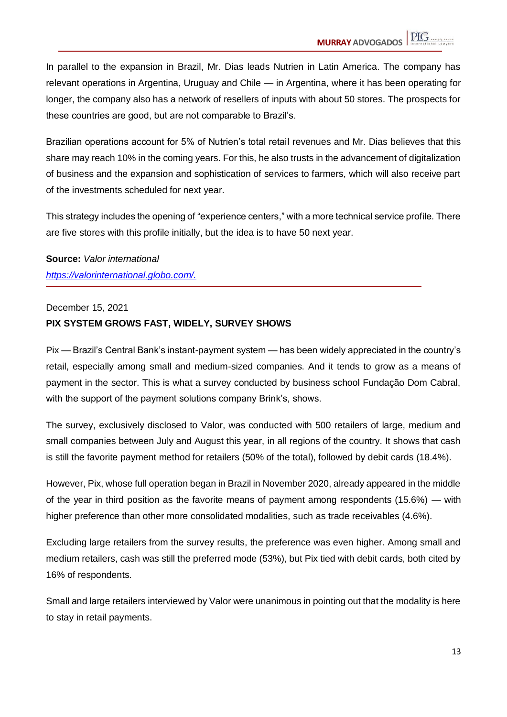In parallel to the expansion in Brazil, Mr. Dias leads Nutrien in Latin America. The company has relevant operations in Argentina, Uruguay and Chile — in Argentina, where it has been operating for longer, the company also has a network of resellers of inputs with about 50 stores. The prospects for these countries are good, but are not comparable to Brazil's.

Brazilian operations account for 5% of Nutrien's total retail revenues and Mr. Dias believes that this share may reach 10% in the coming years. For this, he also trusts in the advancement of digitalization of business and the expansion and sophistication of services to farmers, which will also receive part of the investments scheduled for next year.

This strategy includes the opening of "experience centers," with a more technical service profile. There are five stores with this profile initially, but the idea is to have 50 next year.

**Source:** *Valor international https://valorinternational.globo.com/.*

December 15, 2021

# **PIX SYSTEM GROWS FAST, WIDELY, SURVEY SHOWS**

Pix — Brazil's Central Bank's instant-payment system — has been widely appreciated in the country's retail, especially among small and medium-sized companies. And it tends to grow as a means of payment in the sector. This is what a survey conducted by business school Fundação Dom Cabral, with the support of the payment solutions company Brink's, shows.

The survey, exclusively disclosed to Valor, was conducted with 500 retailers of large, medium and small companies between July and August this year, in all regions of the country. It shows that cash is still the favorite payment method for retailers (50% of the total), followed by debit cards (18.4%).

However, Pix, whose full operation began in Brazil in November 2020, already appeared in the middle of the year in third position as the favorite means of payment among respondents (15.6%) — with higher preference than other more consolidated modalities, such as trade receivables (4.6%).

Excluding large retailers from the survey results, the preference was even higher. Among small and medium retailers, cash was still the preferred mode (53%), but Pix tied with debit cards, both cited by 16% of respondents.

Small and large retailers interviewed by Valor were unanimous in pointing out that the modality is here to stay in retail payments.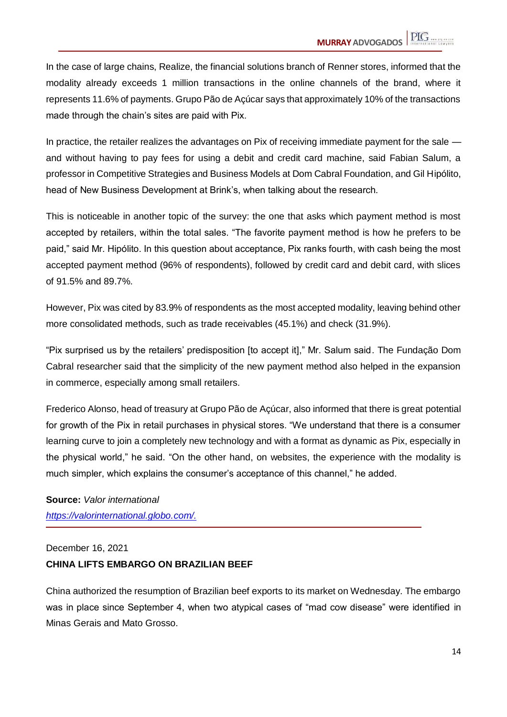In the case of large chains, Realize, the financial solutions branch of Renner stores, informed that the modality already exceeds 1 million transactions in the online channels of the brand, where it represents 11.6% of payments. Grupo Pão de Açúcar says that approximately 10% of the transactions made through the chain's sites are paid with Pix.

In practice, the retailer realizes the advantages on Pix of receiving immediate payment for the sale and without having to pay fees for using a debit and credit card machine, said Fabian Salum, a professor in Competitive Strategies and Business Models at Dom Cabral Foundation, and Gil Hipólito, head of New Business Development at Brink's, when talking about the research.

This is noticeable in another topic of the survey: the one that asks which payment method is most accepted by retailers, within the total sales. "The favorite payment method is how he prefers to be paid," said Mr. Hipólito. In this question about acceptance, Pix ranks fourth, with cash being the most accepted payment method (96% of respondents), followed by credit card and debit card, with slices of 91.5% and 89.7%.

However, Pix was cited by 83.9% of respondents as the most accepted modality, leaving behind other more consolidated methods, such as trade receivables (45.1%) and check (31.9%).

"Pix surprised us by the retailers' predisposition [to accept it]," Mr. Salum said. The Fundação Dom Cabral researcher said that the simplicity of the new payment method also helped in the expansion in commerce, especially among small retailers.

Frederico Alonso, head of treasury at Grupo Pão de Açúcar, also informed that there is great potential for growth of the Pix in retail purchases in physical stores. "We understand that there is a consumer learning curve to join a completely new technology and with a format as dynamic as Pix, especially in the physical world," he said. "On the other hand, on websites, the experience with the modality is much simpler, which explains the consumer's acceptance of this channel," he added.

**Source:** *Valor international [https://valorinternational.globo.com/.](https://valorinternational.globo.com/)*

#### December 16, 2021

# **CHINA LIFTS EMBARGO ON BRAZILIAN BEEF**

China authorized the resumption of Brazilian beef exports to its market on Wednesday. The embargo was in place since September 4, when two atypical cases of "mad cow disease" were identified in Minas Gerais and Mato Grosso.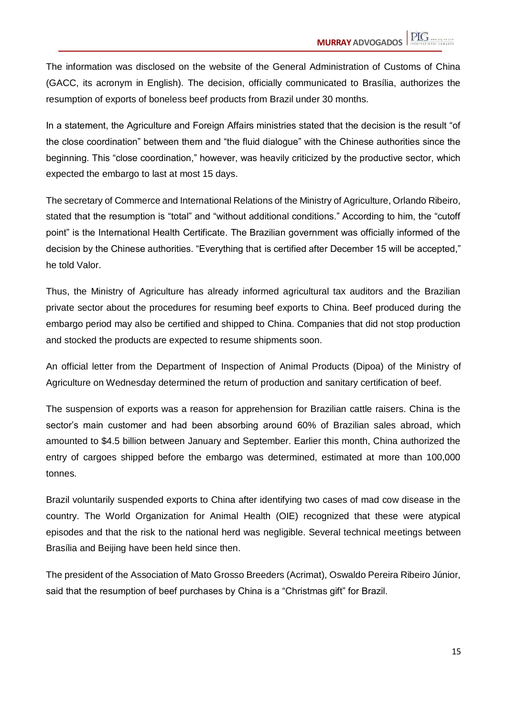The information was disclosed on the website of the General Administration of Customs of China (GACC, its acronym in English). The decision, officially communicated to Brasília, authorizes the resumption of exports of boneless beef products from Brazil under 30 months.

In a statement, the Agriculture and Foreign Affairs ministries stated that the decision is the result "of the close coordination" between them and "the fluid dialogue" with the Chinese authorities since the beginning. This "close coordination," however, was heavily criticized by the productive sector, which expected the embargo to last at most 15 days.

The secretary of Commerce and International Relations of the Ministry of Agriculture, Orlando Ribeiro, stated that the resumption is "total" and "without additional conditions." According to him, the "cutoff point" is the International Health Certificate. The Brazilian government was officially informed of the decision by the Chinese authorities. "Everything that is certified after December 15 will be accepted," he told Valor.

Thus, the Ministry of Agriculture has already informed agricultural tax auditors and the Brazilian private sector about the procedures for resuming beef exports to China. Beef produced during the embargo period may also be certified and shipped to China. Companies that did not stop production and stocked the products are expected to resume shipments soon.

An official letter from the Department of Inspection of Animal Products (Dipoa) of the Ministry of Agriculture on Wednesday determined the return of production and sanitary certification of beef.

The suspension of exports was a reason for apprehension for Brazilian cattle raisers. China is the sector's main customer and had been absorbing around 60% of Brazilian sales abroad, which amounted to \$4.5 billion between January and September. Earlier this month, China authorized the entry of cargoes shipped before the embargo was determined, estimated at more than 100,000 tonnes.

Brazil voluntarily suspended exports to China after identifying two cases of mad cow disease in the country. The World Organization for Animal Health (OIE) recognized that these were atypical episodes and that the risk to the national herd was negligible. Several technical meetings between Brasília and Beijing have been held since then.

The president of the Association of Mato Grosso Breeders (Acrimat), Oswaldo Pereira Ribeiro Júnior, said that the resumption of beef purchases by China is a "Christmas gift" for Brazil.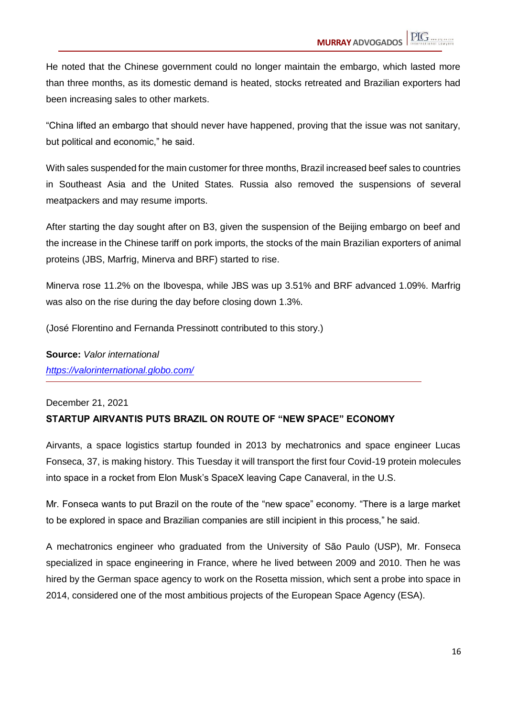He noted that the Chinese government could no longer maintain the embargo, which lasted more than three months, as its domestic demand is heated, stocks retreated and Brazilian exporters had been increasing sales to other markets.

"China lifted an embargo that should never have happened, proving that the issue was not sanitary, but political and economic," he said.

With sales suspended for the main customer for three months, Brazil increased beef sales to countries in Southeast Asia and the United States. Russia also removed the suspensions of several meatpackers and may resume imports.

After starting the day sought after on B3, given the suspension of the Beijing embargo on beef and the increase in the Chinese tariff on pork imports, the stocks of the main Brazilian exporters of animal proteins (JBS, Marfrig, Minerva and BRF) started to rise.

Minerva rose 11.2% on the Ibovespa, while JBS was up 3.51% and BRF advanced 1.09%. Marfrig was also on the rise during the day before closing down 1.3%.

(José Florentino and Fernanda Pressinott contributed to this story.)

**Source:** *Valor international <https://valorinternational.globo.com/>*

# December 21, 2021 **STARTUP AIRVANTIS PUTS BRAZIL ON ROUTE OF "NEW SPACE" ECONOMY**

Airvants, a space logistics startup founded in 2013 by mechatronics and space engineer Lucas Fonseca, 37, is making history. This Tuesday it will transport the first four Covid-19 protein molecules into space in a rocket from Elon Musk's SpaceX leaving Cape Canaveral, in the U.S.

Mr. Fonseca wants to put Brazil on the route of the "new space" economy. "There is a large market to be explored in space and Brazilian companies are still incipient in this process," he said.

A mechatronics engineer who graduated from the University of São Paulo (USP), Mr. Fonseca specialized in space engineering in France, where he lived between 2009 and 2010. Then he was hired by the German space agency to work on the Rosetta mission, which sent a probe into space in 2014, considered one of the most ambitious projects of the European Space Agency (ESA).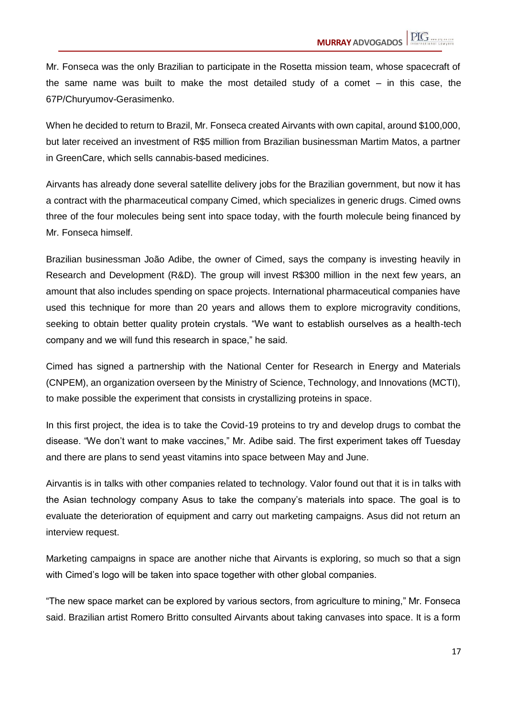Mr. Fonseca was the only Brazilian to participate in the Rosetta mission team, whose spacecraft of the same name was built to make the most detailed study of a comet – in this case, the 67P/Churyumov-Gerasimenko.

When he decided to return to Brazil, Mr. Fonseca created Airvants with own capital, around \$100,000, but later received an investment of R\$5 million from Brazilian businessman Martim Matos, a partner in GreenCare, which sells cannabis-based medicines.

Airvants has already done several satellite delivery jobs for the Brazilian government, but now it has a contract with the pharmaceutical company Cimed, which specializes in generic drugs. Cimed owns three of the four molecules being sent into space today, with the fourth molecule being financed by Mr. Fonseca himself.

Brazilian businessman João Adibe, the owner of Cimed, says the company is investing heavily in Research and Development (R&D). The group will invest R\$300 million in the next few years, an amount that also includes spending on space projects. International pharmaceutical companies have used this technique for more than 20 years and allows them to explore microgravity conditions, seeking to obtain better quality protein crystals. "We want to establish ourselves as a health-tech company and we will fund this research in space," he said.

Cimed has signed a partnership with the National Center for Research in Energy and Materials (CNPEM), an organization overseen by the Ministry of Science, Technology, and Innovations (MCTI), to make possible the experiment that consists in crystallizing proteins in space.

In this first project, the idea is to take the Covid-19 proteins to try and develop drugs to combat the disease. "We don't want to make vaccines," Mr. Adibe said. The first experiment takes off Tuesday and there are plans to send yeast vitamins into space between May and June.

Airvantis is in talks with other companies related to technology. Valor found out that it is in talks with the Asian technology company Asus to take the company's materials into space. The goal is to evaluate the deterioration of equipment and carry out marketing campaigns. Asus did not return an interview request.

Marketing campaigns in space are another niche that Airvants is exploring, so much so that a sign with Cimed's logo will be taken into space together with other global companies.

"The new space market can be explored by various sectors, from agriculture to mining," Mr. Fonseca said. Brazilian artist Romero Britto consulted Airvants about taking canvases into space. It is a form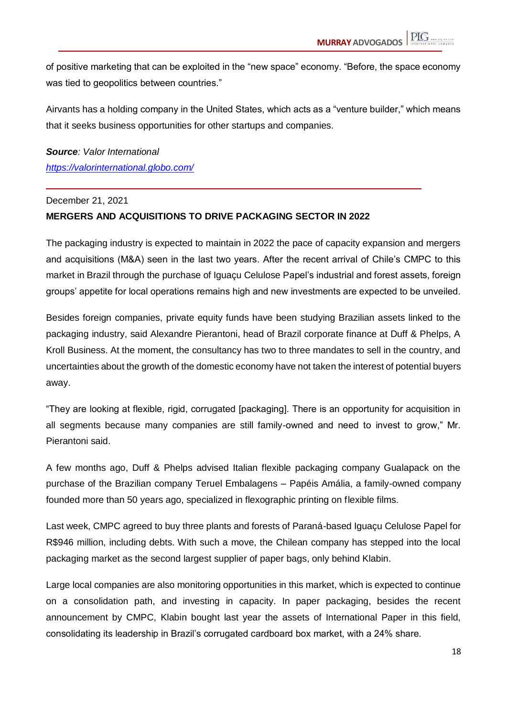of positive marketing that can be exploited in the "new space" economy. "Before, the space economy was tied to geopolitics between countries."

Airvants has a holding company in the United States, which acts as a "venture builder," which means that it seeks business opportunities for other startups and companies.

*Source: Valor International <https://valorinternational.globo.com/>*

#### December 21, 2021

#### **MERGERS AND ACQUISITIONS TO DRIVE PACKAGING SECTOR IN 2022**

The packaging industry is expected to maintain in 2022 the pace of capacity expansion and mergers and acquisitions (M&A) seen in the last two years. After the recent arrival of Chile's CMPC to this market in Brazil through the purchase of Iguaçu Celulose Papel's industrial and forest assets, foreign groups' appetite for local operations remains high and new investments are expected to be unveiled.

Besides foreign companies, private equity funds have been studying Brazilian assets linked to the packaging industry, said Alexandre Pierantoni, head of Brazil corporate finance at Duff & Phelps, A Kroll Business. At the moment, the consultancy has two to three mandates to sell in the country, and uncertainties about the growth of the domestic economy have not taken the interest of potential buyers away.

"They are looking at flexible, rigid, corrugated [packaging]. There is an opportunity for acquisition in all segments because many companies are still family-owned and need to invest to grow," Mr. Pierantoni said.

A few months ago, Duff & Phelps advised Italian flexible packaging company Gualapack on the purchase of the Brazilian company Teruel Embalagens – Papéis Amália, a family-owned company founded more than 50 years ago, specialized in flexographic printing on flexible films.

Last week, CMPC agreed to buy three plants and forests of Paraná-based Iguaçu Celulose Papel for R\$946 million, including debts. With such a move, the Chilean company has stepped into the local packaging market as the second largest supplier of paper bags, only behind Klabin.

Large local companies are also monitoring opportunities in this market, which is expected to continue on a consolidation path, and investing in capacity. In paper packaging, besides the recent announcement by CMPC, Klabin bought last year the assets of International Paper in this field, consolidating its leadership in Brazil's corrugated cardboard box market, with a 24% share.